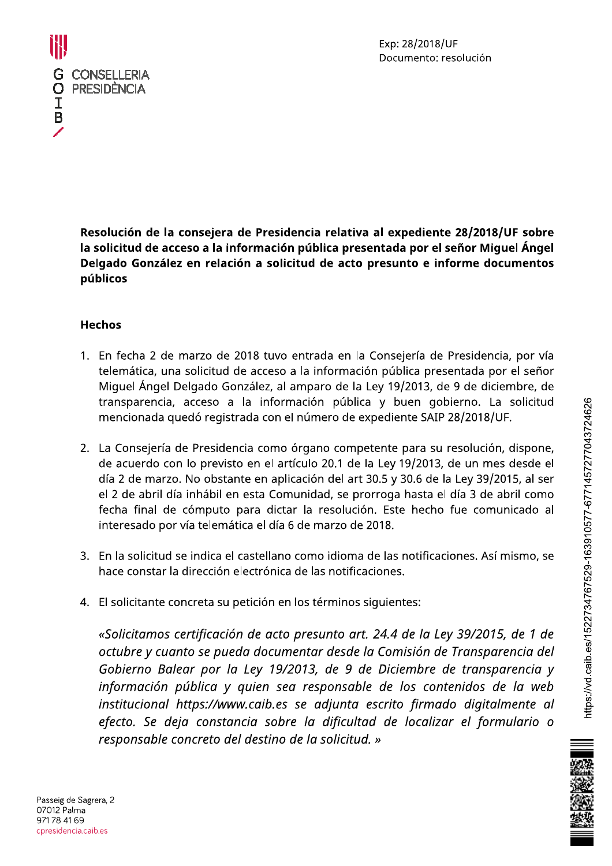



Resolución de la consejera de Presidencia relativa al expediente 28/2018/UF sobre la solicitud de acceso a la información pública presentada por el señor Miquel Ángel Delgado González en relación a solicitud de acto presunto e informe documentos públicos

# Hechos

- 1. En fecha 2 de marzo de 2018 tuvo entrada en la Consejería de Presidencia, por vía telemática, una solicitud de acceso a la información pública presentada por el señor Miquel Ángel Delgado González, al amparo de la Ley 19/2013, de 9 de diciembre, de transparencia, acceso a la información pública y buen gobierno. La solicitud mencionada quedo registrada con el número de expediente SAIP 28/2018/UF.
- 2. La Consejería de Presidencia como órgano competente para su resolución, dispone, de acuerdo con lo previsto en el artículo 20.1 de la Ley 19/2013, de un mes desde el día 2 de marzo. No obstante en aplicación del art 30.5 y 30.6 de la Ley 39/2015, al ser el 2 de abril día inhábil en esta Comunidad, se prorroga hasta el día 3 de abril como fecha final de cómputo para dictar la resolución. Este hecho fue comunicado al interesado por vía telemática el día 6 de marzo de 2018.
- 3. En la solícitud se indica el castellano como idioma de las notíficaciones. Así mismo, se hace constar la dirección electrónica de las notificaciones.
- 4. El solicitante concreta su petición en los términos siguientes:

«Solicitamos certificación de acto presunto art. 24.4 de la Ley 39/2015, de 1 de octubre y cuanto se pueda documentar desde la Comisión de Transparencia del Gobierno Balear por la Ley 19/2013, de 9 de Diciembre de transparencia y información pública y quien sea responsable de los contenidos de la web institucional https://www.caib.es se adjunta escrito firmado digitalmente al efecto. Se deja constancia sobre la dificultad de localizar el formulario o responsable concreto del destino de la solicitud. » meria, por vía<br>
por el señor<br>
iciembre, de<br>
La solicitud<br>
i/UF.<br>
ón, dispone,<br>
nes desde el<br>
mes desde el<br>
2015, al ser<br>
e abril como<br>
municado al<br>
sí mismo, se<br>
sí mismo, se<br>
sí mismo, se<br>
sí mismo, se<br>
sí mismo, se<br>
sí

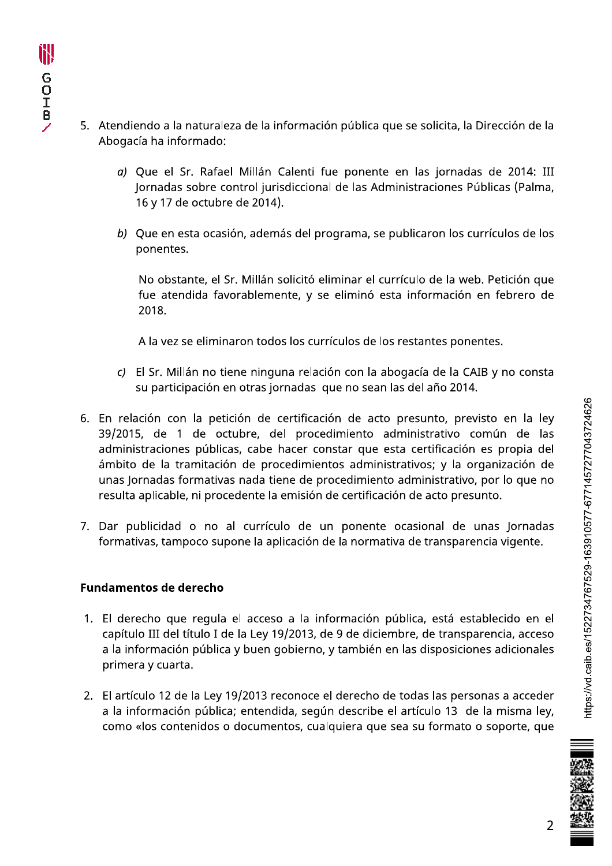- 5. Atendiendo a la naturaleza de la información pública que se solicita, la Dirección de la Abogacía ha informado:
	- a) Que el Sr. Rafael Millán Calenti fue ponente en las jornadas de 2014: III Jornadas sobre control jurisdiccional de las Administraciones Públicas (Palma, 16 y 17 de octubre de 2014).
	- b) Que en esta ocasión, además del programa, se publicaron los currículos de los ponentes.

No obstante, el Sr. Millán solicitó eliminar el currículo de la web. Petición que fue atendida favorablemente, y se eliminó esta información en febrero de 2018.

A la vez se eliminaron todos los currículos de los restantes ponentes.

- c) El Sr. Millán no tiene ninguna relación con la abogacía de la CAIB y no consta su participación en otras jornadas que no sean las del año 2014.
- 6. En relación con la petición de certificación de acto presunto, previsto en la ley 39/2015, de 1 de octubre, del procedimiento administrativo común de las administraciones públicas, cabe hacer constar que esta certificación es propia del ámbito de la tramitación de procedimientos administrativos; y la organización de unas Jornadas formativas nada tiene de procedimiento administrativo, por lo que no resulta aplicable, ni procedente la emisión de certificación de acto presunto.
- 7. Dar publicidad o no al currículo de un ponente ocasional de unas Jornadas formativas, tampoco supone la aplicación de la normativa de transparencia vigente.

# **Fundamentos de derecho**

- 1. El derecho que regula el acceso a la información pública, está establecido en el capítulo III del título I de la Ley 19/2013, de 9 de diciembre, de transparencia, acceso a la información pública y buen gobierno, y también en las disposiciones adicionales primera y cuarta.
- 2. El artículo 12 de la Ley 19/2013 reconoce el derecho de todas las personas a acceder a la información pública; entendida, según describe el artículo 13 de la misma ley, como «los contenidos o documentos, cualquiera que sea su formato o soporte, que

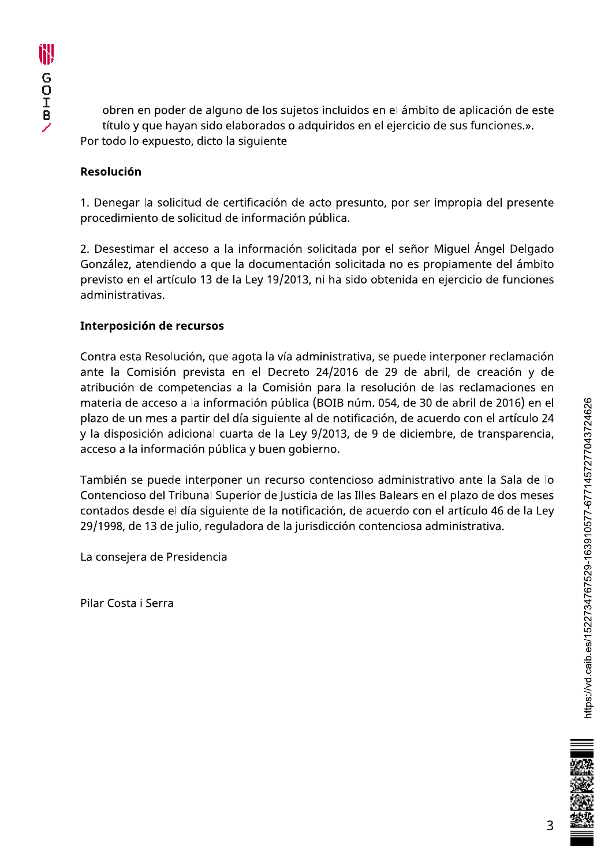obren en poder de alguno de los sujetos incluidos en el ámbito de aplicación de este título y que hayan sido elaborados o adquiridos en el ejercicio de sus funciones.». Por todo lo expuesto, dicto la siguiente

# Resolución

1. Denegar la solicitud de certificación de acto presunto, por ser impropia del presente procedimiento de solicitud de información pública.

2. Desestimar el acceso a la información solicitada por el señor Miguel Ángel Delgado González, atendiendo a que la documentación solicitada no es propiamente del ámbito previsto en el artículo 13 de la Ley 19/2013, ni ha sido obtenida en ejercicio de funciones administrativas.

# Interposición de recursos

Contra esta Resolución, que agota la vía administrativa, se puede interponer reclamación ante la Comisión prevista en el Decreto 24/2016 de 29 de abril, de creación y de atribución de competencias a la Comisión para la resolución de las reclamaciones en materia de acceso a la información pública (BOIB núm. 054, de 30 de abril de 2016) en el plazo de un mes a partir del día siguiente al de notificación, de acuerdo con el artículo 24 y la disposición adicional cuarta de la Ley 9/2013, de 9 de diciembre, de transparencia, acceso a la información pública y buen gobierno.

También se puede interponer un recurso contencioso administrativo ante la Sala de lo Contencioso del Tribunal Superior de Justicia de las Illes Balears en el plazo de dos meses contados desde el día siguiente de la notificación, de acuerdo con el artículo 46 de la Ley 29/1998, de 13 de julio, reguladora de la jurisdicción contenciosa administrativa.

La consejera de Presidencia

Pilar Costa i Serra